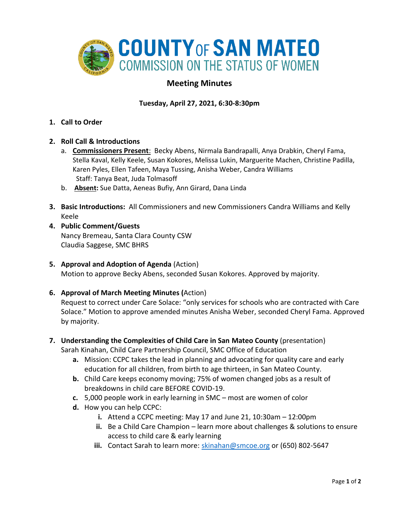

## **Meeting Minutes**

## **Tuesday, April 27, 2021, 6:30-8:30pm**

- **1. Call to Order**
- **2. Roll Call & Introductions** 
	- a. **Commissioners Present**: Becky Abens, Nirmala Bandrapalli, Anya Drabkin, Cheryl Fama, Stella Kaval, Kelly Keele, Susan Kokores, Melissa Lukin, Marguerite Machen, Christine Padilla, Karen Pyles, Ellen Tafeen, Maya Tussing, Anisha Weber, Candra Williams Staff: Tanya Beat, Juda Tolmasoff
	- b. **Absent:** Sue Datta, Aeneas Bufiy, Ann Girard, Dana Linda
- **3. Basic Introductions:** All Commissioners and new Commissioners Candra Williams and Kelly Keele
- **4. Public Comment/Guests** Nancy Bremeau, Santa Clara County CSW Claudia Saggese, SMC BHRS
- **5. Approval and Adoption of Agenda** (Action) Motion to approve Becky Abens, seconded Susan Kokores. Approved by majority.
- **6. Approval of March Meeting Minutes (**Action)

Request to correct under Care Solace: "only services for schools who are contracted with Care Solace." Motion to approve amended minutes Anisha Weber, seconded Cheryl Fama. Approved by majority.

- **7. Understanding the Complexities of Child Care in San Mateo County** (presentation) Sarah Kinahan, Child Care Partnership Council, SMC Office of Education
	- **a.** Mission: CCPC takes the lead in planning and advocating for quality care and early education for all children, from birth to age thirteen, in San Mateo County.
	- **b.** Child Care keeps economy moving; 75% of women changed jobs as a result of breakdowns in child care BEFORE COVID-19.
	- **c.** 5,000 people work in early learning in SMC most are women of color
	- **d.** How you can help CCPC:
		- **i.** Attend a CCPC meeting: May 17 and June 21, 10:30am 12:00pm
		- **ii.** Be a Child Care Champion learn more about challenges & solutions to ensure access to child care & early learning
		- **iii.** Contact Sarah to learn more: [skinahan@smcoe.org](mailto:skinahan@smcoe.org) or (650) 802-5647